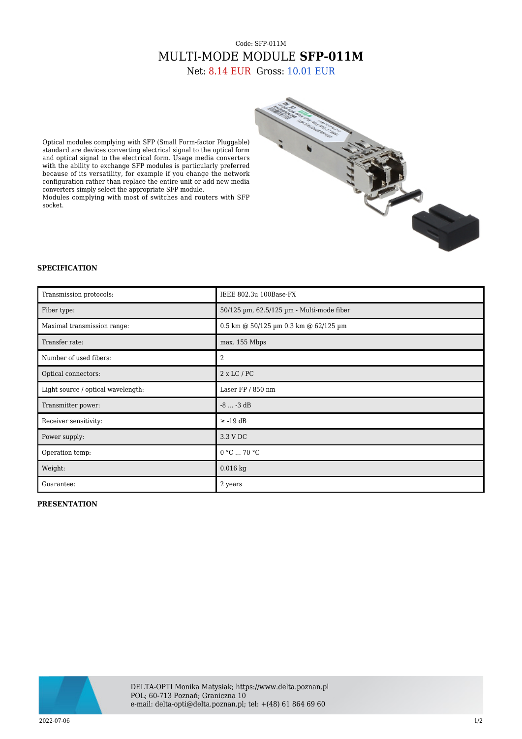## Code: SFP-011M MULTI-MODE MODULE **SFP-011M** Net: 8.14 EUR Gross: 10.01 EUR

Optical modules complying with SFP (Small Form-factor Pluggable) standard are devices converting electrical signal to the optical form and optical signal to the electrical form. Usage media converters with the ability to exchange SFP modules is particularly preferred because of its versatility, for example if you change the network configuration rather than replace the entire unit or add new media converters simply select the appropriate SFP module.

Modules complying with most of switches and routers with SFP socket.



## **SPECIFICATION**

| Transmission protocols:            | IEEE 802.3u 100Base-FX                    |
|------------------------------------|-------------------------------------------|
| Fiber type:                        | 50/125 µm, 62.5/125 µm - Multi-mode fiber |
| Maximal transmission range:        | 0.5 km @ 50/125 um 0.3 km @ 62/125 um     |
| Transfer rate:                     | max. 155 Mbps                             |
| Number of used fibers:             | 2                                         |
| Optical connectors:                | $2 \times LC / PC$                        |
| Light source / optical wavelength: | Laser FP / 850 nm                         |
| Transmitter power:                 | $-8 -3$ dB                                |
| Receiver sensitivity:              | $\ge$ -19 dB                              |
| Power supply:                      | 3.3 V DC                                  |
| Operation temp:                    | 0 °C  70 °C                               |
| Weight:                            | $0.016$ kg                                |
| Guarantee:                         | 2 years                                   |

## **PRESENTATION**



DELTA-OPTI Monika Matysiak; https://www.delta.poznan.pl POL; 60-713 Poznań; Graniczna 10 e-mail: delta-opti@delta.poznan.pl; tel: +(48) 61 864 69 60

2022-07-06 1/2